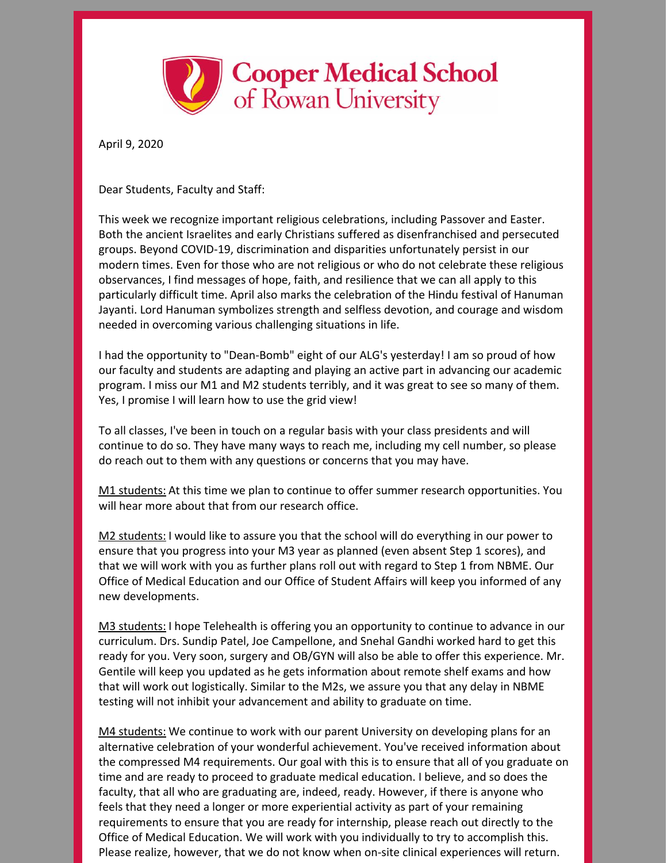

April 9, 2020

Dear Students, Faculty and Staff:

This week we recognize important religious celebrations, including Passover and Easter. Both the ancient Israelites and early Christians suffered as disenfranchised and persecuted groups. Beyond COVID-19, discrimination and disparities unfortunately persist in our modern times. Even for those who are not religious or who do not celebrate these religious observances, I find messages of hope, faith, and resilience that we can all apply to this particularly difficult time. April also marks the celebration of the Hindu festival of Hanuman Jayanti. Lord Hanuman symbolizes strength and selfless devotion, and courage and wisdom needed in overcoming various challenging situations in life.

I had the opportunity to "Dean-Bomb" eight of our ALG's yesterday! I am so proud of how our faculty and students are adapting and playing an active part in advancing our academic program. I miss our M1 and M2 students terribly, and it was great to see so many of them. Yes, I promise I will learn how to use the grid view!

To all classes, I've been in touch on a regular basis with your class presidents and will continue to do so. They have many ways to reach me, including my cell number, so please do reach out to them with any questions or concerns that you may have.

M1 students: At this time we plan to continue to offer summer research opportunities. You will hear more about that from our research office.

M2 students: I would like to assure you that the school will do everything in our power to ensure that you progress into your M3 year as planned (even absent Step 1 scores), and that we will work with you as further plans roll out with regard to Step 1 from NBME. Our Office of Medical Education and our Office of Student Affairs will keep you informed of any new developments.

M3 students: I hope Telehealth is offering you an opportunity to continue to advance in our curriculum. Drs. Sundip Patel, Joe Campellone, and Snehal Gandhi worked hard to get this ready for you. Very soon, surgery and OB/GYN will also be able to offer this experience. Mr. Gentile will keep you updated as he gets information about remote shelf exams and how that will work out logistically. Similar to the M2s, we assure you that any delay in NBME testing will not inhibit your advancement and ability to graduate on time.

M4 students: We continue to work with our parent University on developing plans for an alternative celebration of your wonderful achievement. You've received information about the compressed M4 requirements. Our goal with this is to ensure that all of you graduate on time and are ready to proceed to graduate medical education. I believe, and so does the faculty, that all who are graduating are, indeed, ready. However, if there is anyone who feels that they need a longer or more experiential activity as part of your remaining requirements to ensure that you are ready for internship, please reach out directly to the Office of Medical Education. We will work with you individually to try to accomplish this. Please realize, however, that we do not know when on-site clinical experiences will return.